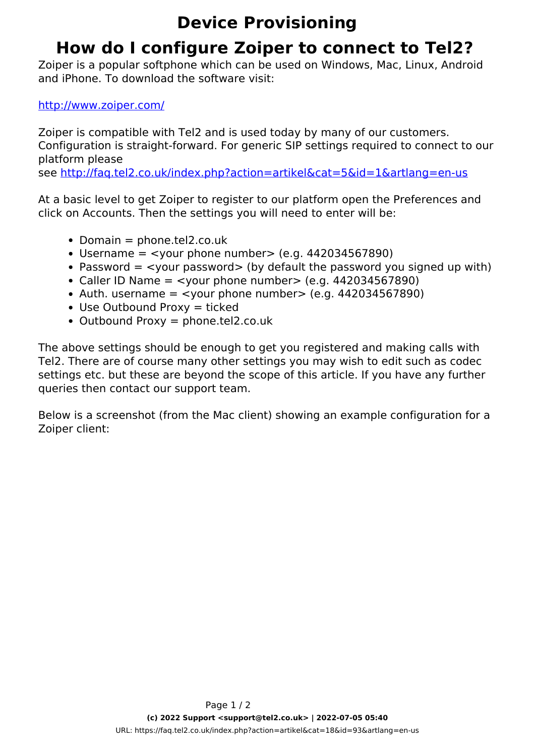## **Device Provisioning**

## **How do I configure Zoiper to connect to Tel2?**

Zoiper is a popular softphone which can be used on Windows, Mac, Linux, Android and iPhone. To download the software visit:

## <http://www.zoiper.com/>

Zoiper is compatible with Tel2 and is used today by many of our customers. Configuration is straight-forward. For generic SIP settings required to connect to our platform please

see<http://faq.tel2.co.uk/index.php?action=artikel&cat=5&id=1&artlang=en-us>

At a basic level to get Zoiper to register to our platform open the Preferences and click on Accounts. Then the settings you will need to enter will be:

- $\bullet$  Domain = phone.tel2.co.uk
- $\bullet$  Username = <vour phone number> (e.g. 442034567890)
- Password  $=$  <vour password> (by default the password you signed up with)
- Caller ID Name  $=$  <vour phone number > (e.g. 442034567890)
- Auth. username  $=$  <vour phone number > (e.g. 442034567890)
- $\bullet$  Use Outbound Proxy = ticked
- $\bullet$  Outbound Proxy = phone.tel2.co.uk

The above settings should be enough to get you registered and making calls with Tel2. There are of course many other settings you may wish to edit such as codec settings etc. but these are beyond the scope of this article. If you have any further queries then contact our support team.

Below is a screenshot (from the Mac client) showing an example configuration for a Zoiper client: